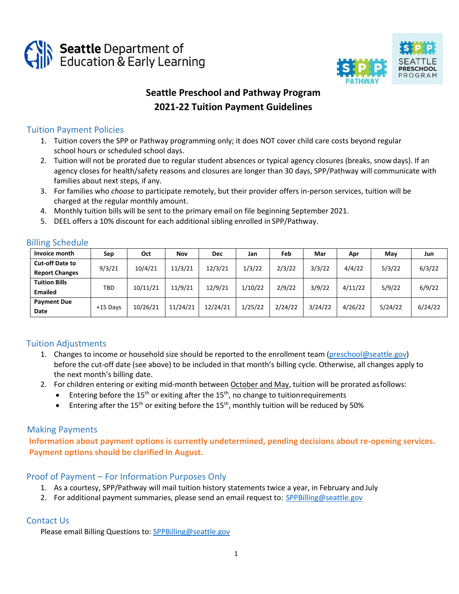



# **Seattle Preschool and Pathway Program 2021-22 Tuition Payment Guidelines**

## Tuition Payment Policies

- 1. Tuition covers the SPP or Pathway programming only; it does NOT cover child care costs beyond regular school hours or scheduled school days.
- 2. Tuition will not be prorated due to regular student absences or typical agency closures (breaks, snow days). If an agency closes for health/safety reasons and closures are longer than 30 days, SPP/Pathway will communicate with families about next steps, if any.
- 3. For families who *choose* to participate remotely, but their provider offers in-person services, tuition will be charged at the regular monthly amount.
- 4. Monthly tuition bills will be sent to the primary email on file beginning September 2021.
- 5. DEEL offers a 10% discount for each additional sibling enrolled in SPP/Pathway.

| Invoice month          | Sep        | Oct      | Nov      | <b>Dec</b> | Jan     | Feb     | Mar     | Apr     | May     | Jun     |
|------------------------|------------|----------|----------|------------|---------|---------|---------|---------|---------|---------|
| <b>Cut-off Date to</b> | 9/3/21     | 10/4/21  | 11/3/21  | 12/3/21    | 1/3/22  | 2/3/22  | 3/3/22  | 4/4/22  | 5/3/22  | 6/3/22  |
| <b>Report Changes</b>  |            |          |          |            |         |         |         |         |         |         |
| <b>Tuition Bills</b>   | TBD        | 10/11/21 | 11/9/21  | 12/9/21    | 1/10/22 | 2/9/22  | 3/9/22  | 4/11/22 | 5/9/22  | 6/9/22  |
| <b>Emailed</b>         |            |          |          |            |         |         |         |         |         |         |
| <b>Payment Due</b>     | $+15$ Days | 10/26/21 | 11/24/21 | 12/24/21   | 1/25/22 | 2/24/22 | 3/24/22 | 4/26/22 | 5/24/22 | 6/24/22 |
| Date                   |            |          |          |            |         |         |         |         |         |         |

### Billing Schedule

# Tuition Adjustments

- 1. Changes to income or household size should be reported to the enrollment team [\(preschool@seattle.gov\)](mailto:preschool@seattle.gov) before the cut-off date (see above) to be included in that month's billing cycle. Otherwise, all changes apply to the next month's billing date.
- 2. For children entering or exiting mid-month between October and May, tuition will be prorated asfollows:
	- Entering before the  $15<sup>th</sup>$  or exiting after the  $15<sup>th</sup>$ , no change to tuition requirements
	- Entering after the 15<sup>th</sup> or exiting before the 15<sup>th</sup>, monthly tuition will be reduced by 50%

### Making Payments

**Information about payment options is currently undetermined, pending decisions about re-opening services. Payment options should be clarified in August.** 

### Proof of Payment – For Information Purposes Only

- 1. As a courtesy, SPP/Pathway will mail tuition history statements twice a year, in February and July
- 2. For additional payment summaries, please send an email request to: [SPPBilling@seattle.gov](mailto:SPPBilling@seattle.gov)

# Contact Us

Please email Billing Questions to: [SPPBilling@seattle.gov](mailto:SPPBilling@seattle.gov)